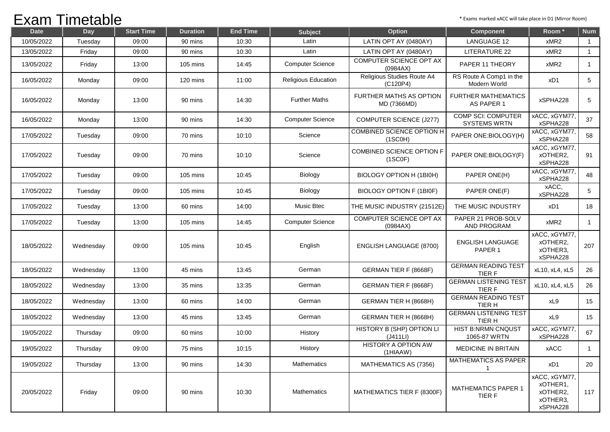## Exam Timetable

| <b>Date</b> | Day       | <b>Start Time</b> | <b>Duration</b> | <b>End Time</b> | <b>Subject</b>          | Option                                      | Component                                        | Room <sup>*</sup>                                             | <b>Num</b>     |
|-------------|-----------|-------------------|-----------------|-----------------|-------------------------|---------------------------------------------|--------------------------------------------------|---------------------------------------------------------------|----------------|
| 10/05/2022  | Tuesday   | 09:00             | 90 mins         | 10:30           | Latin                   | LATIN OPT AY (0480AY)                       | <b>LANGUAGE 12</b>                               | xMR2                                                          | $\overline{1}$ |
| 13/05/2022  | Friday    | 09:00             | 90 mins         | 10:30           | Latin                   | LATIN OPT AY (0480AY)                       | LITERATURE 22                                    | xMR2                                                          | $\overline{1}$ |
| 13/05/2022  | Friday    | 13:00             | 105 mins        | 14:45           | <b>Computer Science</b> | COMPUTER SCIENCE OPT AX<br>(0984AX)         | PAPER 11 THEORY                                  | xMR2                                                          | $\mathbf{1}$   |
| 16/05/2022  | Monday    | 09:00             | 120 mins        | 11:00           | Religious Education     | Religious Studies Route A4<br>(C120P4)      | RS Route A Comp1 in the<br>Modern World          | xD1                                                           | 5              |
| 16/05/2022  | Monday    | 13:00             | 90 mins         | 14:30           | <b>Further Maths</b>    | FURTHER MATHS AS OPTION<br>MD (7366MD)      | <b>FURTHER MATHEMATICS</b><br>AS PAPER 1         | xSPHA228                                                      | 5              |
| 16/05/2022  | Monday    | 13:00             | 90 mins         | 14:30           | <b>Computer Science</b> | <b>COMPUTER SCIENCE (J277)</b>              | <b>COMP SCI: COMPUTER</b><br><b>SYSTEMS WRTN</b> | xACC, xGYM77,<br>xSPHA228                                     | 37             |
| 17/05/2022  | Tuesday   | 09:00             | 70 mins         | 10:10           | Science                 | <b>COMBINED SCIENCE OPTION H</b><br>(1SCOH) | PAPER ONE:BIOLOGY(H)                             | xACC, xGYM77,<br>xSPHA228                                     | 58             |
| 17/05/2022  | Tuesday   | 09:00             | 70 mins         | 10:10           | Science                 | COMBINED SCIENCE OPTION F<br>(1SCOF)        | PAPER ONE:BIOLOGY(F)                             | xACC, xGYM77,<br>xOTHER2,<br>xSPHA228                         | 91             |
| 17/05/2022  | Tuesday   | 09:00             | 105 mins        | 10:45           | Biology                 | BIOLOGY OPTION H (1BI0H)                    | PAPER ONE(H)                                     | xACC, xGYM77,<br>xSPHA228                                     | 48             |
| 17/05/2022  | Tuesday   | 09:00             | 105 mins        | 10:45           | Biology                 | BIOLOGY OPTION F (1BI0F)                    | PAPER ONE(F)                                     | xACC,<br>xSPHA228                                             | 5              |
| 17/05/2022  | Tuesday   | 13:00             | 60 mins         | 14:00           | <b>Music Btec</b>       | THE MUSIC INDUSTRY (21512E)                 | THE MUSIC INDUSTRY                               | xD1                                                           | 18             |
| 17/05/2022  | Tuesday   | 13:00             | 105 mins        | 14:45           | <b>Computer Science</b> | COMPUTER SCIENCE OPT AX<br>(0984AX)         | PAPER 21 PROB-SOLV<br>AND PROGRAM                | xMR2                                                          | $\overline{1}$ |
| 18/05/2022  | Wednesday | 09:00             | 105 mins        | 10:45           | English                 | <b>ENGLISH LANGUAGE (8700)</b>              | <b>ENGLISH LANGUAGE</b><br>PAPER 1               | xACC, xGYM77,<br>xOTHER2,<br>xOTHER3,<br>xSPHA228             | 207            |
| 18/05/2022  | Wednesday | 13:00             | 45 mins         | 13:45           | German                  | GERMAN TIER F (8668F)                       | <b>GERMAN READING TEST</b><br><b>TIERF</b>       | xL10, xL4, xL5                                                | 26             |
| 18/05/2022  | Wednesday | 13:00             | 35 mins         | 13:35           | German                  | GERMAN TIER F (8668F)                       | <b>GERMAN LISTENING TEST</b><br><b>TIERF</b>     | xL10, xL4, xL5                                                | 26             |
| 18/05/2022  | Wednesday | 13:00             | 60 mins         | 14:00           | German                  | GERMAN TIER H (8668H)                       | <b>GERMAN READING TEST</b><br>TIER H             | xL9                                                           | 15             |
| 18/05/2022  | Wednesday | 13:00             | 45 mins         | 13:45           | German                  | GERMAN TIER H (8668H)                       | <b>GERMAN LISTENING TEST</b><br>TIER H           | xL9                                                           | 15             |
| 19/05/2022  | Thursday  | 09:00             | 60 mins         | 10:00           | History                 | HISTORY B (SHP) OPTION LI<br>(J411LI)       | <b>HIST B:NRMN CNQUST</b><br>1065-87 WRTN        | xACC, xGYM77,<br>xSPHA228                                     | 67             |
| 19/05/2022  | Thursday  | 09:00             | 75 mins         | 10:15           | History                 | HISTORY A OPTION AW<br>(1HIAAW)             | MEDICINE IN BRITAIN                              | xACC                                                          | $\overline{1}$ |
| 19/05/2022  | Thursday  | 13:00             | 90 mins         | 14:30           | Mathematics             | MATHEMATICS AS (7356)                       | MATHEMATICS AS PAPER<br>1                        | xD1                                                           | 20             |
| 20/05/2022  | Friday    | 09:00             | 90 mins         | 10:30           | Mathematics             | MATHEMATICS TIER F (8300F)                  | <b>MATHEMATICS PAPER 1</b><br>TIER F             | xACC, xGYM77,<br>xOTHER1,<br>xOTHER2,<br>xOTHER3,<br>xSPHA228 | 117            |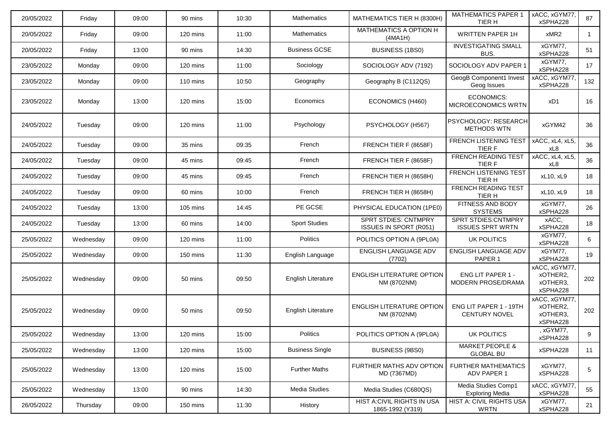| 20/05/2022 | Friday    | 09:00 | 90 mins  | 10:30 | <b>Mathematics</b>        | MATHEMATICS TIER H (8300H)                                   | <b>MATHEMATICS PAPER 1</b><br>TIER H                   | xACC, xGYM77,<br>xSPHA228                         | 87  |
|------------|-----------|-------|----------|-------|---------------------------|--------------------------------------------------------------|--------------------------------------------------------|---------------------------------------------------|-----|
| 20/05/2022 | Friday    | 09:00 | 120 mins | 11:00 | Mathematics               | MATHEMATICS A OPTION H<br>(4MA1H)                            | <b>WRITTEN PAPER 1H</b>                                | xMR2                                              | -1  |
| 20/05/2022 | Friday    | 13:00 | 90 mins  | 14:30 | <b>Business GCSE</b>      | BUSINESS (1BS0)                                              | <b>INVESTIGATING SMALL</b><br>BUS.                     | xGYM77,<br>xSPHA228                               | 51  |
| 23/05/2022 | Monday    | 09:00 | 120 mins | 11:00 | Sociology                 | SOCIOLOGY ADV (7192)                                         | SOCIOLOGY ADV PAPER 1                                  | xGYM77,<br>xSPHA228                               | 17  |
| 23/05/2022 | Monday    | 09:00 | 110 mins | 10:50 | Geography                 | Geography B (C112QS)                                         | GeogB Component1 Invest<br>Geog Issues                 | xACC, xGYM77,<br>xSPHA228                         | 132 |
| 23/05/2022 | Monday    | 13:00 | 120 mins | 15:00 | Economics                 | ECONOMICS (H460)                                             | <b>ECONOMICS:</b><br>MICROECONOMICS WRTN               | xD1                                               | 16  |
| 24/05/2022 | Tuesday   | 09:00 | 120 mins | 11:00 | Psychology                | PSYCHOLOGY (H567)                                            | PSYCHOLOGY: RESEARCH<br><b>METHODS WTN</b>             | xGYM42                                            | 36  |
| 24/05/2022 | Tuesday   | 09:00 | 35 mins  | 09:35 | French                    | FRENCH TIER F (8658F)                                        | <b>FRENCH LISTENING TEST</b><br>TIER F                 | xACC, xL4, xL5,<br>xL8                            | 36  |
| 24/05/2022 | Tuesday   | 09:00 | 45 mins  | 09:45 | French                    | FRENCH TIER F (8658F)                                        | <b>FRENCH READING TEST</b><br>TIER F                   | xACC, xL4, xL5,<br>xL8                            | 36  |
| 24/05/2022 | Tuesday   | 09:00 | 45 mins  | 09:45 | French                    | FRENCH TIER H (8658H)                                        | <b>FRENCH LISTENING TEST</b><br>TIER H                 | xL10, xL9                                         | 18  |
| 24/05/2022 | Tuesday   | 09:00 | 60 mins  | 10:00 | French                    | FRENCH TIER H (8658H)                                        | <b>FRENCH READING TEST</b><br>TIER H                   | xL10, xL9                                         | 18  |
| 24/05/2022 | Tuesday   | 13:00 | 105 mins | 14:45 | PE GCSE                   | PHYSICAL EDUCATION (1PE0)                                    | FITNESS AND BODY<br><b>SYSTEMS</b>                     | xGYM77,<br>xSPHA228                               | 26  |
| 24/05/2022 | Tuesday   | 13:00 | 60 mins  | 14:00 | <b>Sport Studies</b>      | <b>SPRT STDIES: CNTMPRY</b><br><b>ISSUES IN SPORT (R051)</b> | <b>SPRT STDIES: CNTMPRY</b><br><b>ISSUES SPRT WRTN</b> | xACC,<br>xSPHA228                                 | 18  |
| 25/05/2022 | Wednesday | 09:00 | 120 mins | 11:00 | <b>Politics</b>           | POLITICS OPTION A (9PL0A)                                    | UK POLITICS                                            | xGYM77.<br>xSPHA228                               | 6   |
| 25/05/2022 | Wednesday | 09:00 | 150 mins | 11:30 | English Language          | <b>ENGLISH LANGUAGE ADV</b><br>(7702)                        | ENGLISH LANGUAGE ADV<br>PAPER <sub>1</sub>             | xGYM77,<br>xSPHA228                               | 19  |
| 25/05/2022 | Wednesday | 09:00 | 50 mins  | 09:50 | <b>English Literature</b> | <b>ENGLISH LITERATURE OPTION</b><br>NM (8702NM)              | ENG LIT PAPER 1 -<br><b>MODERN PROSE/DRAMA</b>         | xACC, xGYM77,<br>xOTHER2,<br>xOTHER3,<br>xSPHA228 | 202 |
| 25/05/2022 | Wednesday | 09:00 | 50 mins  | 09:50 | <b>English Literature</b> | <b>ENGLISH LITERATURE OPTION</b><br>NM (8702NM)              | ENG LIT PAPER 1 - 19TH<br><b>CENTURY NOVEL</b>         | xACC, xGYM77,<br>xOTHER2,<br>xOTHER3.<br>xSPHA228 | 202 |
| 25/05/2022 | Wednesday | 13:00 | 120 mins | 15:00 | <b>Politics</b>           | POLITICS OPTION A (9PL0A)                                    | UK POLITICS                                            | , xGYM77,<br>xSPHA228                             | 9   |
| 25/05/2022 | Wednesday | 13:00 | 120 mins | 15:00 | <b>Business Single</b>    | BUSINESS (9BS0)                                              | MARKET, PEOPLE &<br><b>GLOBAL BU</b>                   | xSPHA228                                          | 11  |
| 25/05/2022 | Wednesday | 13:00 | 120 mins | 15:00 | <b>Further Maths</b>      | FURTHER MATHS ADV OPTION<br>MD (7367MD)                      | <b>FURTHER MATHEMATICS</b><br>ADV PAPER 1              | xGYM77,<br>xSPHA228                               | 5   |
| 25/05/2022 | Wednesday | 13:00 | 90 mins  | 14:30 | Media Studies             | Media Studies (C680QS)                                       | Media Studies Comp1<br><b>Exploring Media</b>          | xACC, xGYM77,<br>xSPHA228                         | 55  |
| 26/05/2022 | Thursday  | 09:00 | 150 mins | 11:30 | History                   | HIST A:CIVIL RIGHTS IN USA<br>1865-1992 (Y319)               | HIST A: CIVIL RIGHTS USA<br>WRTN                       | xGYM77,<br>xSPHA228                               | 21  |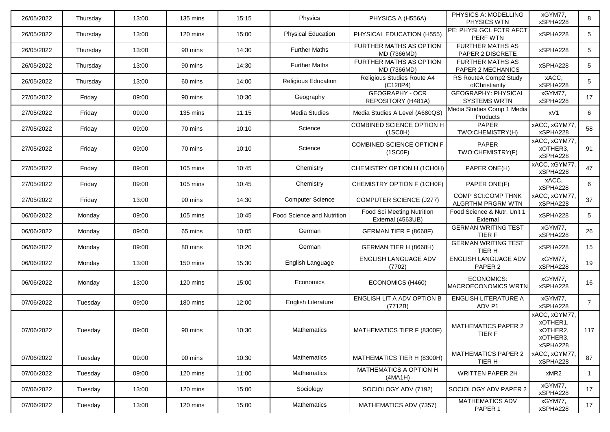| 26/05/2022 | Thursday | 13:00 | 135 mins           | 15:15 | Physics                           | PHYSICS A (H556A)                               | PHYSICS A: MODELLING<br>PHYSICS WTN                   | xGYM77,<br>xSPHA228                                           | 8              |
|------------|----------|-------|--------------------|-------|-----------------------------------|-------------------------------------------------|-------------------------------------------------------|---------------------------------------------------------------|----------------|
| 26/05/2022 | Thursday | 13:00 | $120 \text{ mins}$ | 15:00 | <b>Physical Education</b>         | PHYSICAL EDUCATION (H555)                       | PE: PHYSLGCL FCTR AFCT<br>PERF WTN                    | xSPHA228                                                      | 5              |
| 26/05/2022 | Thursday | 13:00 | 90 mins            | 14:30 | <b>Further Maths</b>              | <b>FURTHER MATHS AS OPTION</b><br>MD (7366MD)   | <b>FURTHER MATHS AS</b><br>PAPER 2 DISCRETE           | xSPHA228                                                      | 5              |
| 26/05/2022 | Thursday | 13:00 | 90 mins            | 14:30 | <b>Further Maths</b>              | FURTHER MATHS AS OPTION<br>MD (7366MD)          | <b>FURTHER MATHS AS</b><br>PAPER 2 MECHANICS          | xSPHA228                                                      | 5              |
| 26/05/2022 | Thursday | 13:00 | 60 mins            | 14:00 | Religious Education               | Religious Studies Route A4<br>(C120P4)          | RS RouteA Comp2 Study<br>ofChristianity               | xACC,<br>xSPHA228                                             | 5              |
| 27/05/2022 | Friday   | 09:00 | 90 mins            | 10:30 | Geography                         | <b>GEOGRAPHY - OCR</b><br>REPOSITORY (H481A)    | <b>GEOGRAPHY: PHYSICAL</b><br><b>SYSTEMS WRTN</b>     | xGYM77,<br>xSPHA228                                           | 17             |
| 27/05/2022 | Friday   | 09:00 | 135 mins           | 11:15 | Media Studies                     | Media Studies A Level (A680QS)                  | Media Studies Comp 1 Media<br>Products                | xV1                                                           | 6              |
| 27/05/2022 | Friday   | 09:00 | 70 mins            | 10:10 | Science                           | COMBINED SCIENCE OPTION H<br>(1SCOH)            | PAPER<br>TWO:CHEMISTRY(H)                             | xACC, xGYM77,<br>xSPHA228                                     | 58             |
| 27/05/2022 | Friday   | 09:00 | 70 mins            | 10:10 | Science                           | COMBINED SCIENCE OPTION F<br>(1SC0F)            | PAPER<br>TWO:CHEMISTRY(F)                             | xACC, xGYM77,<br>xOTHER3,<br>xSPHA228                         | 91             |
| 27/05/2022 | Friday   | 09:00 | $105 \text{ mins}$ | 10:45 | Chemistry                         | CHEMISTRY OPTION H (1CH0H)                      | PAPER ONE(H)                                          | xACC, xGYM77,<br>xSPHA228                                     | 47             |
| 27/05/2022 | Friday   | 09:00 | 105 mins           | 10:45 | Chemistry                         | CHEMISTRY OPTION F (1CH0F)                      | PAPER ONE(F)                                          | xACC,<br>xSPHA228                                             | 6              |
| 27/05/2022 | Friday   | 13:00 | 90 mins            | 14:30 | <b>Computer Science</b>           | <b>COMPUTER SCIENCE (J277)</b>                  | <b>COMP SCI:COMP THNK</b><br><b>ALGRTHM PRGRM WTN</b> | xACC, xGYM77,<br>xSPHA228                                     | 37             |
| 06/06/2022 | Monday   | 09:00 | 105 mins           | 10:45 | <b>Food Science and Nutrition</b> | Food Sci Meeting Nutrition<br>External (4563UB) | Food Science & Nutr. Unit 1<br>External               | xSPHA228                                                      | 5              |
| 06/06/2022 | Monday   | 09:00 | 65 mins            | 10:05 | German                            | GERMAN TIER F (8668F)                           | <b>GERMAN WRITING TEST</b><br>TIER F                  | xGYM77,<br>xSPHA228                                           | 26             |
| 06/06/2022 | Monday   | 09:00 | 80 mins            | 10:20 | German                            | GERMAN TIER H (8668H)                           | <b>GERMAN WRITING TEST</b><br>TIER H                  | xSPHA228                                                      | 15             |
| 06/06/2022 | Monday   | 13:00 | 150 mins           | 15:30 | English Language                  | ENGLISH LANGUAGE ADV<br>(7702)                  | ENGLISH LANGUAGE ADV<br>PAPER 2                       | xGYM77,<br>xSPHA228                                           | 19             |
| 06/06/2022 | Monday   | 13:00 | 120 mins           | 15:00 | Economics                         | ECONOMICS (H460)                                | <b>ECONOMICS:</b><br>MACROECONOMICS WRTN              | xGYM77,<br>xSPHA228                                           | 16             |
| 07/06/2022 | Tuesday  | 09:00 | 180 mins           | 12:00 | English Literature                | ENGLISH LIT A ADV OPTION B<br>(7712B)           | <b>ENGLISH LITERATURE A</b><br>ADV P1                 | xGYM77,<br>xSPHA228                                           | $\overline{7}$ |
| 07/06/2022 | Tuesday  | 09:00 | 90 mins            | 10:30 | <b>Mathematics</b>                | MATHEMATICS TIER F (8300F)                      | <b>MATHEMATICS PAPER 2</b><br><b>ILRF</b>             | xACC, xGYM77,<br>xOTHER1,<br>xOTHER2,<br>xOTHER3,<br>xSPHA228 | 117            |
| 07/06/2022 | Tuesday  | 09:00 | 90 mins            | 10:30 | Mathematics                       | MATHEMATICS TIER H (8300H)                      | <b>MATHEMATICS PAPER 2</b><br>TIER H                  | xACC, xGYM77,<br>xSPHA228                                     | 87             |
| 07/06/2022 | Tuesday  | 09:00 | 120 mins           | 11:00 | Mathematics                       | MATHEMATICS A OPTION H<br>(4MA1H)               | <b>WRITTEN PAPER 2H</b>                               | xMR2                                                          | 1              |
| 07/06/2022 | Tuesday  | 13:00 | 120 mins           | 15:00 | Sociology                         | SOCIOLOGY ADV (7192)                            | SOCIOLOGY ADV PAPER 2                                 | xGYM77,<br>xSPHA228                                           | 17             |
| 07/06/2022 | Tuesday  | 13:00 | 120 mins           | 15:00 | Mathematics                       | MATHEMATICS ADV (7357)                          | MATHEMATICS ADV<br>PAPER 1                            | xGYM77,<br>xSPHA228                                           | 17             |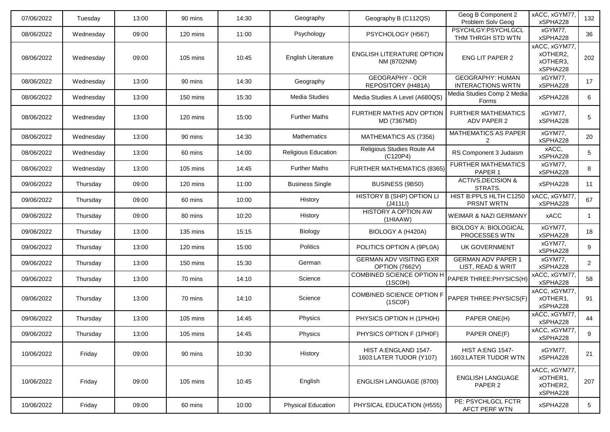| 07/06/2022 | Tuesday   | 13:00 | 90 mins  | 14:30 | Geography                  | Geography B (C112QS)                             | Geog B Component 2<br>Problem Solv Geog             | xACC, xGYM77,<br>xSPHA228                         | 132            |
|------------|-----------|-------|----------|-------|----------------------------|--------------------------------------------------|-----------------------------------------------------|---------------------------------------------------|----------------|
| 08/06/2022 | Wednesday | 09:00 | 120 mins | 11:00 | Psychology                 | PSYCHOLOGY (H567)                                | PSYCHLGY:PSYCHLGCL<br>THM THRGH STD WTN             | xGYM77.<br>xSPHA228                               | 36             |
| 08/06/2022 | Wednesday | 09:00 | 105 mins | 10:45 | English Literature         | <b>ENGLISH LITERATURE OPTION</b><br>NM (8702NM)  | ENG LIT PAPER 2                                     | xACC, xGYM77,<br>xOTHER2.<br>xOTHER3,<br>xSPHA228 | 202            |
| 08/06/2022 | Wednesday | 13:00 | 90 mins  | 14:30 | Geography                  | <b>GEOGRAPHY - OCR</b><br>REPOSITORY (H481A)     | <b>GEOGRAPHY: HUMAN</b><br><b>INTERACTIONS WRTN</b> | xGYM77,<br>xSPHA228                               | 17             |
| 08/06/2022 | Wednesday | 13:00 | 150 mins | 15:30 | <b>Media Studies</b>       | Media Studies A Level (A680QS)                   | Media Studies Comp 2 Media<br>Forms                 | xSPHA228                                          | 6              |
| 08/06/2022 | Wednesday | 13:00 | 120 mins | 15:00 | <b>Further Maths</b>       | FURTHER MATHS ADV OPTION<br>MD (7367MD)          | <b>FURTHER MATHEMATICS</b><br>ADV PAPER 2           | xGYM77,<br>xSPHA228                               | 5              |
| 08/06/2022 | Wednesday | 13:00 | 90 mins  | 14:30 | <b>Mathematics</b>         | MATHEMATICS AS (7356)                            | <b>MATHEMATICS AS PAPER</b>                         | xGYM77,<br>xSPHA228                               | 20             |
| 08/06/2022 | Wednesday | 13:00 | 60 mins  | 14:00 | <b>Religious Education</b> | Religious Studies Route A4<br>(C120P4)           | RS Component 3 Judaism                              | xACC,<br>xSPHA228                                 | 5              |
| 08/06/2022 | Wednesday | 13:00 | 105 mins | 14:45 | <b>Further Maths</b>       | <b>FURTHER MATHEMATICS (8365)</b>                | <b>FURTHER MATHEMATICS</b><br>PAPER <sub>1</sub>    | xGYM77,<br>xSPHA228                               | 8              |
| 09/06/2022 | Thursday  | 09:00 | 120 mins | 11:00 | <b>Business Single</b>     | BUSINESS (9BS0)                                  | <b>ACTIVS, DECISION &amp;</b><br>STRATS.            | xSPHA228                                          | 11             |
| 09/06/2022 | Thursday  | 09:00 | 60 mins  | 10:00 | History                    | <b>HISTORY B (SHP) OPTION LI</b><br>(J411LI)     | HIST B:PPLS HLTH C1250<br>PRSNT WRTN                | xACC, xGYM77,<br>xSPHA228                         | 67             |
| 09/06/2022 | Thursday  | 09:00 | 80 mins  | 10:20 | History                    | <b>HISTORY A OPTION AW</b><br>(1HIAAW)           | <b>WEIMAR &amp; NAZI GERMANY</b>                    | xACC                                              | $\mathbf{1}$   |
| 09/06/2022 | Thursday  | 13:00 | 135 mins | 15:15 | Biology                    | BIOLOGY A (H420A)                                | <b>BIOLOGY A: BIOLOGICAL</b><br>PROCESSES WTN       | xGYM77,<br>xSPHA228                               | 18             |
| 09/06/2022 | Thursday  | 13:00 | 120 mins | 15:00 | <b>Politics</b>            | POLITICS OPTION A (9PL0A)                        | UK GOVERNMENT                                       | xGYM77,<br>xSPHA228                               | 9              |
| 09/06/2022 | Thursday  | 13:00 | 150 mins | 15:30 | German                     | <b>GERMAN ADV VISITING EXR</b><br>OPTION (7662V) | <b>GERMAN ADV PAPER 1</b><br>LIST, READ & WRIT      | xGYM77,<br>xSPHA228                               | $\overline{2}$ |
| 09/06/2022 | Thursday  | 13:00 | 70 mins  | 14:10 | Science                    | COMBINED SCIENCE OPTION H<br>(1SCOH)             | PAPER THREE: PHYSICS (H)                            | xACC, xGYM77,<br>xSPHA228                         | 58             |
| 09/06/2022 | Thursday  | 13:00 | 70 mins  | 14:10 | Science                    | COMBINED SCIENCE OPTION F<br>(1SCOF)             | PAPER THREE: PHYSICS (F)                            | xACC, xGYM77,<br>xOTHER1,<br>xSPHA228             | 91             |
| 09/06/2022 | Thursday  | 13:00 | 105 mins | 14:45 | Physics                    | PHYSICS OPTION H (1PH0H)                         | PAPER ONE(H)                                        | xACC, xGYM77,<br>xSPHA228                         | 44             |
| 09/06/2022 | Thursday  | 13:00 | 105 mins | 14:45 | Physics                    | PHYSICS OPTION F (1PH0F)                         | PAPER ONE(F)                                        | xACC, xGYM77,<br>xSPHA228                         | 9              |
| 10/06/2022 | Friday    | 09:00 | 90 mins  | 10:30 | History                    | HIST A: ENGLAND 1547-<br>1603:LATER TUDOR (Y107) | <b>HIST A:ENG 1547-</b><br>1603:LATER TUDOR WTN     | xGYM77.<br>xSPHA228                               | 21             |
| 10/06/2022 | Friday    | 09:00 | 105 mins | 10:45 | English                    | <b>ENGLISH LANGUAGE (8700)</b>                   | <b>ENGLISH LANGUAGE</b><br>PAPER <sub>2</sub>       | xACC, xGYM77,<br>xOTHER1,<br>xOTHER2,<br>xSPHA228 | 207            |
| 10/06/2022 | Friday    | 09:00 | 60 mins  | 10:00 | <b>Physical Education</b>  | PHYSICAL EDUCATION (H555)                        | PE: PSYCHLGCL FCTR<br>AFCT PERF WTN                 | xSPHA228                                          | 5              |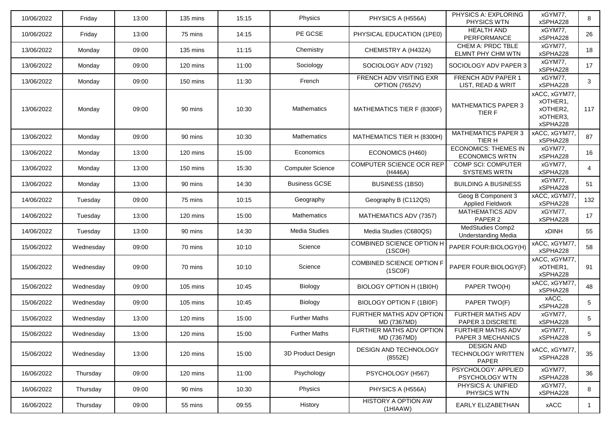| 10/06/2022 | Friday    | 13:00 | 135 mins | 15:15 | Physics                 | PHYSICS A (H556A)                         | PHYSICS A: EXPLORING<br>PHYSICS WTN                     | xGYM77.<br>xSPHA228                                           | 8   |
|------------|-----------|-------|----------|-------|-------------------------|-------------------------------------------|---------------------------------------------------------|---------------------------------------------------------------|-----|
| 10/06/2022 | Friday    | 13:00 | 75 mins  | 14:15 | PE GCSE                 | PHYSICAL EDUCATION (1PE0)                 | <b>HEALTH AND</b><br>PERFORMANCE                        | xGYM77,<br>xSPHA228                                           | 26  |
| 13/06/2022 | Monday    | 09:00 | 135 mins | 11:15 | Chemistry               | CHEMISTRY A (H432A)                       | CHEM A: PRDC TBLE<br>ELMNT PHY CHM WTN                  | xGYM77,<br>xSPHA228                                           | 18  |
| 13/06/2022 | Monday    | 09:00 | 120 mins | 11:00 | Sociology               | SOCIOLOGY ADV (7192)                      | SOCIOLOGY ADV PAPER 3                                   | xGYM77,<br>xSPHA228                                           | 17  |
| 13/06/2022 | Monday    | 09:00 | 150 mins | 11:30 | French                  | FRENCH ADV VISITING EXR<br>OPTION (7652V) | <b>FRENCH ADV PAPER 1</b><br>LIST, READ & WRIT          | xGYM77,<br>xSPHA228                                           | 3   |
| 13/06/2022 | Monday    | 09:00 | 90 mins  | 10:30 | Mathematics             | MATHEMATICS TIER F (8300F)                | <b>MATHEMATICS PAPER 3</b><br>TIER F                    | xACC, xGYM77,<br>xOTHER1,<br>xOTHER2,<br>xOTHER3,<br>xSPHA228 | 117 |
| 13/06/2022 | Monday    | 09:00 | 90 mins  | 10:30 | Mathematics             | MATHEMATICS TIER H (8300H)                | <b>MATHEMATICS PAPER 3</b><br>TIER H                    | xACC, xGYM77,<br>xSPHA228                                     | 87  |
| 13/06/2022 | Monday    | 13:00 | 120 mins | 15:00 | Economics               | ECONOMICS (H460)                          | <b>ECONOMICS: THEMES IN</b><br><b>ECONOMICS WRTN</b>    | xGYM77,<br>xSPHA228                                           | 16  |
| 13/06/2022 | Monday    | 13:00 | 150 mins | 15:30 | <b>Computer Science</b> | COMPUTER SCIENCE OCR REP<br>(H446A)       | <b>COMP SCI: COMPUTER</b><br><b>SYSTEMS WRTN</b>        | xGYM77,<br>xSPHA228                                           | 4   |
| 13/06/2022 | Monday    | 13:00 | 90 mins  | 14:30 | <b>Business GCSE</b>    | <b>BUSINESS (1BS0)</b>                    | <b>BUILDING A BUSINESS</b>                              | xGYM77,<br>xSPHA228                                           | 51  |
| 14/06/2022 | Tuesday   | 09:00 | 75 mins  | 10:15 | Geography               | Geography B (C112QS)                      | Geog B Component 3<br><b>Applied Fieldwork</b>          | xACC, xGYM77,<br>xSPHA228                                     | 132 |
| 14/06/2022 | Tuesday   | 13:00 | 120 mins | 15:00 | Mathematics             | MATHEMATICS ADV (7357)                    | <b>MATHEMATICS ADV</b><br>PAPER <sub>2</sub>            | xGYM77,<br>xSPHA228                                           | 17  |
| 14/06/2022 | Tuesday   | 13:00 | 90 mins  | 14:30 | <b>Media Studies</b>    | Media Studies (C680QS)                    | MedStudies Comp2<br><b>Understanding Media</b>          | <b>xDINH</b>                                                  | 55  |
| 15/06/2022 | Wednesday | 09:00 | 70 mins  | 10:10 | Science                 | COMBINED SCIENCE OPTION H<br>(1SCOH)      | PAPER FOUR: BIOLOGY (H)                                 | xACC, xGYM77,<br>xSPHA228                                     | 58  |
| 15/06/2022 | Wednesday | 09:00 | 70 mins  | 10:10 | Science                 | COMBINED SCIENCE OPTION F<br>(1SC0F)      | PAPER FOUR: BIOLOGY (F)                                 | xACC, xGYM77,<br>xOTHER1,<br>xSPHA228                         | 91  |
| 15/06/2022 | Wednesday | 09:00 | 105 mins | 10:45 | Biology                 | BIOLOGY OPTION H (1BI0H)                  | PAPER TWO(H)                                            | xACC, xGYM77,<br>xSPHA228                                     | 48  |
| 15/06/2022 | Wednesday | 09:00 | 105 mins | 10:45 | Biology                 | BIOLOGY OPTION F (1BI0F)                  | PAPER TWO(F)                                            | xACC,<br>xSPHA228                                             | 5   |
| 15/06/2022 | Wednesday | 13:00 | 120 mins | 15:00 | <b>Further Maths</b>    | FURTHER MATHS ADV OPTION<br>MD (7367MD)   | <b>FURTHER MATHS ADV</b><br>PAPER 3 DISCRETE            | xGYM77,<br>xSPHA228                                           | 5   |
| 15/06/2022 | Wednesday | 13:00 | 120 mins | 15:00 | <b>Further Maths</b>    | FURTHER MATHS ADV OPTION<br>MD (7367MD)   | FURTHER MATHS ADV<br>PAPER 3 MECHANICS                  | xGYM77.<br>xSPHA228                                           | 5   |
| 15/06/2022 | Wednesday | 13:00 | 120 mins | 15:00 | 3D Product Design       | DESIGN AND TECHNOLOGY<br>(8552E)          | <b>DESIGN AND</b><br><b>TECHNOLOGY WRITTEN</b><br>PAPER | xACC, xGYM77,<br>xSPHA228                                     | 35  |
| 16/06/2022 | Thursday  | 09:00 | 120 mins | 11:00 | Psychology              | PSYCHOLOGY (H567)                         | PSYCHOLOGY: APPLIED<br>PSYCHOLOGY WTN                   | xGYM77,<br>xSPHA228                                           | 36  |
| 16/06/2022 | Thursday  | 09:00 | 90 mins  | 10:30 | Physics                 | PHYSICS A (H556A)                         | PHYSICS A: UNIFIED<br>PHYSICS WTN                       | xGYM77,<br>xSPHA228                                           | 8   |
| 16/06/2022 | Thursday  | 09:00 | 55 mins  | 09:55 | History                 | <b>HISTORY A OPTION AW</b><br>(1HIAAW)    | EARLY ELIZABETHAN                                       | xACC                                                          | -1  |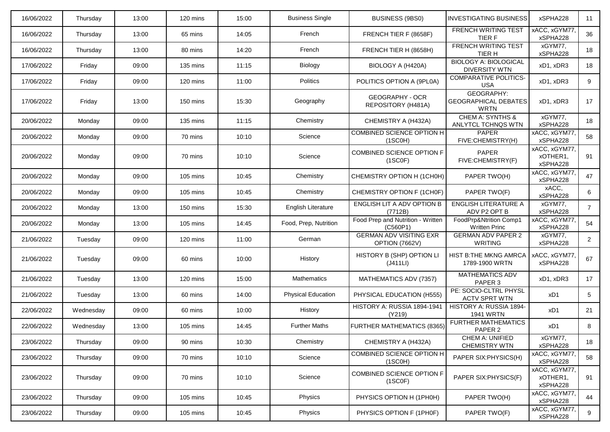| 16/06/2022 | Thursday  | 13:00 | 120 mins | 15:00 | <b>Business Single</b>    | BUSINESS (9BS0)                                  | <b>INVESTIGATING BUSINESS</b>                            | xSPHA228                              | 11             |
|------------|-----------|-------|----------|-------|---------------------------|--------------------------------------------------|----------------------------------------------------------|---------------------------------------|----------------|
| 16/06/2022 | Thursday  | 13:00 | 65 mins  | 14:05 | French                    | FRENCH TIER F (8658F)                            | <b>FRENCH WRITING TEST</b><br>TIER F                     | xACC, xGYM77<br>xSPHA228              | 36             |
| 16/06/2022 | Thursday  | 13:00 | 80 mins  | 14:20 | French                    | FRENCH TIER H (8658H)                            | <b>FRENCH WRITING TEST</b><br>TIER H                     | xGYM77,<br>xSPHA228                   | 18             |
| 17/06/2022 | Friday    | 09:00 | 135 mins | 11:15 | Biology                   | BIOLOGY A (H420A)                                | <b>BIOLOGY A: BIOLOGICAL</b><br><b>DIVERSITY WTN</b>     | xD1, xDR3                             | 18             |
| 17/06/2022 | Friday    | 09:00 | 120 mins | 11:00 | Politics                  | POLITICS OPTION A (9PL0A)                        | <b>COMPARATIVE POLITICS-</b><br><b>USA</b>               | xD1, xDR3                             | 9              |
| 17/06/2022 | Friday    | 13:00 | 150 mins | 15:30 | Geography                 | <b>GEOGRAPHY - OCR</b><br>REPOSITORY (H481A)     | GEOGRAPHY:<br><b>GEOGRAPHICAL DEBATES</b><br><b>WRTN</b> | xD1, xDR3                             | 17             |
| 20/06/2022 | Monday    | 09:00 | 135 mins | 11:15 | Chemistry                 | CHEMISTRY A (H432A)                              | <b>CHEM A: SYNTHS &amp;</b><br>ANLYTCL TCHNQS WTN        | xGYM77,<br>xSPHA228                   | 18             |
| 20/06/2022 | Monday    | 09:00 | 70 mins  | 10:10 | Science                   | <b>COMBINED SCIENCE OPTION H</b><br>(1SCOH)      | PAPER<br>FIVE:CHEMISTRY(H)                               | xACC, xGYM77,<br>xSPHA228             | 58             |
| 20/06/2022 | Monday    | 09:00 | 70 mins  | 10:10 | Science                   | <b>COMBINED SCIENCE OPTION F</b><br>(1SC0F)      | <b>PAPER</b><br>FIVE:CHEMISTRY(F)                        | xACC, xGYM77,<br>xOTHER1,<br>xSPHA228 | 91             |
| 20/06/2022 | Monday    | 09:00 | 105 mins | 10:45 | Chemistry                 | CHEMISTRY OPTION H (1CH0H)                       | PAPER TWO(H)                                             | xACC, xGYM77,<br>xSPHA228             | 47             |
| 20/06/2022 | Monday    | 09:00 | 105 mins | 10:45 | Chemistry                 | CHEMISTRY OPTION F (1CH0F)                       | PAPER TWO(F)                                             | xACC,<br>xSPHA228                     | 6              |
| 20/06/2022 | Monday    | 13:00 | 150 mins | 15:30 | <b>English Literature</b> | ENGLISH LIT A ADV OPTION B<br>(7712B)            | <b>ENGLISH LITERATURE A</b><br>ADV P2 OPT B              | xGYM77,<br>xSPHA228                   | $\overline{7}$ |
| 20/06/2022 | Monday    | 13:00 | 105 mins | 14:45 | Food, Prep, Nutrition     | Food Prep and Nutrition - Written<br>(C560P1)    | FoodPrp&Ntrition Comp1<br><b>Written Princ</b>           | xACC, xGYM77,<br>xSPHA228             | 54             |
| 21/06/2022 | Tuesday   | 09:00 | 120 mins | 11:00 | German                    | <b>GERMAN ADV VISITING EXR</b><br>OPTION (7662V) | <b>GERMAN ADV PAPER 2</b><br><b>WRITING</b>              | xGYM77,<br>xSPHA228                   | $\overline{2}$ |
| 21/06/2022 | Tuesday   | 09:00 | 60 mins  | 10:00 | History                   | HISTORY B (SHP) OPTION LI<br>(J411LI)            | <b>HIST B:THE MKNG AMRCA</b><br>1789-1900 WRTN           | xACC, xGYM77<br>xSPHA228              | 67             |
| 21/06/2022 | Tuesday   | 13:00 | 120 mins | 15:00 | Mathematics               | MATHEMATICS ADV (7357)                           | <b>MATHEMATICS ADV</b><br>PAPER 3                        | xD1, xDR3                             | 17             |
| 21/06/2022 | Tuesday   | 13:00 | 60 mins  | 14:00 | <b>Physical Education</b> | PHYSICAL EDUCATION (H555)                        | PE: SOCIO-CLTRL PHYSL<br><b>ACTV SPRT WTN</b>            | xD1                                   | 5              |
| 22/06/2022 | Wednesday | 09:00 | 60 mins  | 10:00 | History                   | HISTORY A: RUSSIA 1894-1941<br>(Y219)            | HISTORY A: RUSSIA 1894-<br><b>1941 WRTN</b>              | xD1                                   | 21             |
| 22/06/2022 | Wednesday | 13:00 | 105 mins | 14:45 | <b>Further Maths</b>      | <b>FURTHER MATHEMATICS (8365)</b>                | <b>FURTHER MATHEMATICS</b><br>PAPER 2                    | xD1                                   | 8              |
| 23/06/2022 | Thursday  | 09:00 | 90 mins  | 10:30 | Chemistry                 | CHEMISTRY A (H432A)                              | CHEM A: UNIFIED<br><b>CHEMISTRY WTN</b>                  | xGYM77,<br>xSPHA228                   | 18             |
| 23/06/2022 | Thursday  | 09:00 | 70 mins  | 10:10 | Science                   | COMBINED SCIENCE OPTION H<br>(1SCOH)             | PAPER SIX: PHYSICS(H)                                    | xACC, xGYM77,<br>xSPHA228             | 58             |
| 23/06/2022 | Thursday  | 09:00 | 70 mins  | 10:10 | Science                   | COMBINED SCIENCE OPTION F<br>(1SC0F)             | PAPER SIX: PHYSICS(F)                                    | xACC, xGYM77,<br>xOTHER1,<br>xSPHA228 | 91             |
| 23/06/2022 | Thursday  | 09:00 | 105 mins | 10:45 | Physics                   | PHYSICS OPTION H (1PH0H)                         | PAPER TWO(H)                                             | xACC, xGYM77,<br>xSPHA228             | 44             |
| 23/06/2022 | Thursday  | 09:00 | 105 mins | 10:45 | Physics                   | PHYSICS OPTION F (1PH0F)                         | PAPER TWO(F)                                             | xACC, xGYM77,<br>xSPHA228             | 9              |